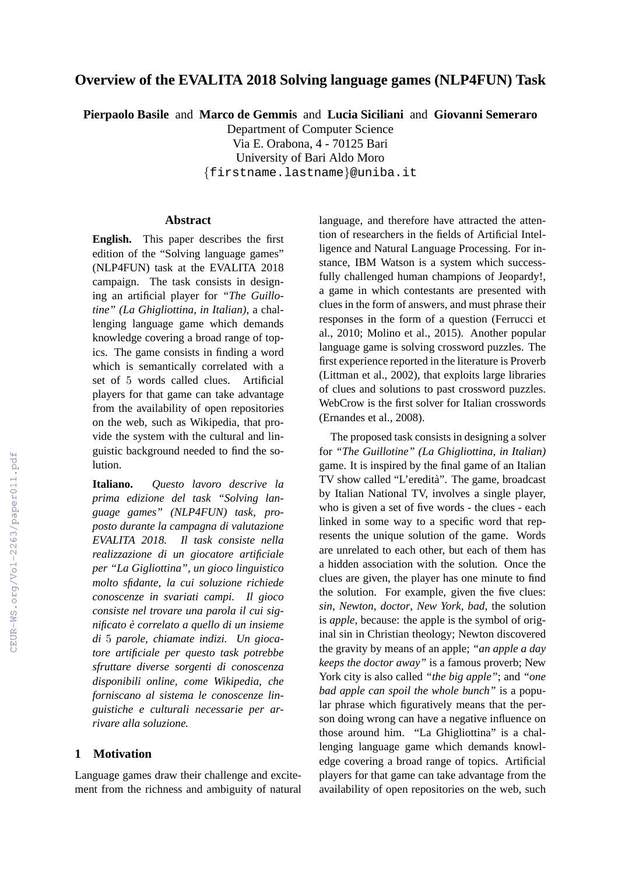# **Overview of the EVALITA 2018 Solving language games (NLP4FUN) Task**

**Pierpaolo Basile** and **Marco de Gemmis** and **Lucia Siciliani** and **Giovanni Semeraro**

Department of Computer Science

Via E. Orabona, 4 - 70125 Bari University of Bari Aldo Moro

{firstname.lastname}@uniba.it

#### **Abstract**

**English.** This paper describes the first edition of the "Solving language games" (NLP4FUN) task at the EVALITA 2018 campaign. The task consists in designing an artificial player for *"The Guillotine" (La Ghigliottina, in Italian)*, a challenging language game which demands knowledge covering a broad range of topics. The game consists in finding a word which is semantically correlated with a set of 5 words called clues. Artificial players for that game can take advantage from the availability of open repositories on the web, such as Wikipedia, that provide the system with the cultural and linguistic background needed to find the solution.

**Italiano.** *Questo lavoro descrive la prima edizione del task "Solving language games" (NLP4FUN) task, proposto durante la campagna di valutazione EVALITA 2018. Il task consiste nella realizzazione di un giocatore artificiale per "La Gigliottina", un gioco linguistico molto sfidante, la cui soluzione richiede conoscenze in svariati campi. Il gioco consiste nel trovare una parola il cui significato e correlato a quello di un insieme ` di* 5 *parole, chiamate indizi. Un giocatore artificiale per questo task potrebbe sfruttare diverse sorgenti di conoscenza disponibili online, come Wikipedia, che forniscano al sistema le conoscenze linguistiche e culturali necessarie per arrivare alla soluzione.*

#### **1 Motivation**

Language games draw their challenge and excitement from the richness and ambiguity of natural language, and therefore have attracted the attention of researchers in the fields of Artificial Intelligence and Natural Language Processing. For instance, IBM Watson is a system which successfully challenged human champions of Jeopardy!, a game in which contestants are presented with clues in the form of answers, and must phrase their responses in the form of a question (Ferrucci et al., 2010; Molino et al., 2015). Another popular language game is solving crossword puzzles. The first experience reported in the literature is Proverb (Littman et al., 2002), that exploits large libraries of clues and solutions to past crossword puzzles. WebCrow is the first solver for Italian crosswords (Ernandes et al., 2008).

The proposed task consists in designing a solver for *"The Guillotine" (La Ghigliottina, in Italian)* game. It is inspired by the final game of an Italian TV show called "L'eredita". The game, broadcast ` by Italian National TV, involves a single player, who is given a set of five words - the clues - each linked in some way to a specific word that represents the unique solution of the game. Words are unrelated to each other, but each of them has a hidden association with the solution. Once the clues are given, the player has one minute to find the solution. For example, given the five clues: *sin*, *Newton*, *doctor*, *New York*, *bad*, the solution is *apple*, because: the apple is the symbol of original sin in Christian theology; Newton discovered the gravity by means of an apple; *"an apple a day keeps the doctor away"* is a famous proverb; New York city is also called *"the big apple"*; and *"one bad apple can spoil the whole bunch"* is a popular phrase which figuratively means that the person doing wrong can have a negative influence on those around him. "La Ghigliottina" is a challenging language game which demands knowledge covering a broad range of topics. Artificial players for that game can take advantage from the availability of open repositories on the web, such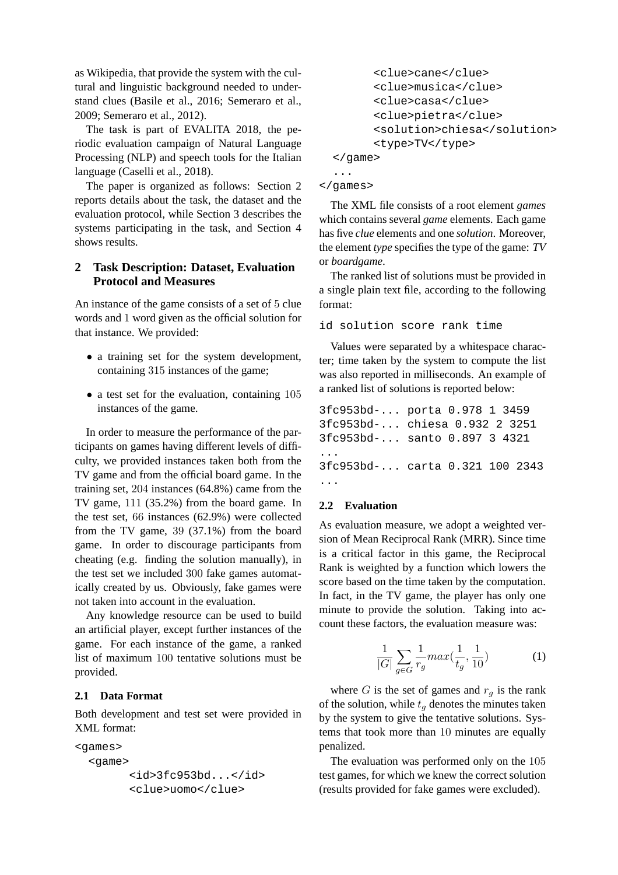as Wikipedia, that provide the system with the cultural and linguistic background needed to understand clues (Basile et al., 2016; Semeraro et al., 2009; Semeraro et al., 2012).

The task is part of EVALITA 2018, the periodic evaluation campaign of Natural Language Processing (NLP) and speech tools for the Italian language (Caselli et al., 2018).

The paper is organized as follows: Section 2 reports details about the task, the dataset and the evaluation protocol, while Section 3 describes the systems participating in the task, and Section 4 shows results.

## **2 Task Description: Dataset, Evaluation Protocol and Measures**

An instance of the game consists of a set of 5 clue words and 1 word given as the official solution for that instance. We provided:

- a training set for the system development, containing 315 instances of the game;
- a test set for the evaluation, containing 105 instances of the game.

In order to measure the performance of the participants on games having different levels of difficulty, we provided instances taken both from the TV game and from the official board game. In the training set, 204 instances (64.8%) came from the TV game, 111 (35.2%) from the board game. In the test set, 66 instances (62.9%) were collected from the TV game, 39 (37.1%) from the board game. In order to discourage participants from cheating (e.g. finding the solution manually), in the test set we included 300 fake games automatically created by us. Obviously, fake games were not taken into account in the evaluation.

Any knowledge resource can be used to build an artificial player, except further instances of the game. For each instance of the game, a ranked list of maximum 100 tentative solutions must be provided.

## **2.1 Data Format**

Both development and test set were provided in XML format:

```
<games>
  <game>
        <id>3fc953bd...</id>
        <clue>uomo</clue>
```

```
<clue>cane</clue>
        <clue>musica</clue>
        <clue>casa</clue>
        <clue>pietra</clue>
        <solution>chiesa</solution>
        <type>TV</type>
  </game>
  ...
</games>
```
The XML file consists of a root element *games* which contains several *game* elements. Each game has five *clue* elements and one *solution*. Moreover, the element *type* specifies the type of the game: *TV* or *boardgame*.

The ranked list of solutions must be provided in a single plain text file, according to the following format:

id solution score rank time

Values were separated by a whitespace character; time taken by the system to compute the list was also reported in milliseconds. An example of a ranked list of solutions is reported below:

```
3fc953bd-... porta 0.978 1 3459
3fc953bd-... chiesa 0.932 2 3251
3fc953bd-... santo 0.897 3 4321
...
3fc953bd-... carta 0.321 100 2343
...
```
## **2.2 Evaluation**

As evaluation measure, we adopt a weighted version of Mean Reciprocal Rank (MRR). Since time is a critical factor in this game, the Reciprocal Rank is weighted by a function which lowers the score based on the time taken by the computation. In fact, in the TV game, the player has only one minute to provide the solution. Taking into account these factors, the evaluation measure was:

$$
\frac{1}{|G|} \sum_{g \in G} \frac{1}{r_g} max(\frac{1}{t_g}, \frac{1}{10})
$$
 (1)

where G is the set of games and  $r_q$  is the rank of the solution, while  $t_q$  denotes the minutes taken by the system to give the tentative solutions. Systems that took more than 10 minutes are equally penalized.

The evaluation was performed only on the 105 test games, for which we knew the correct solution (results provided for fake games were excluded).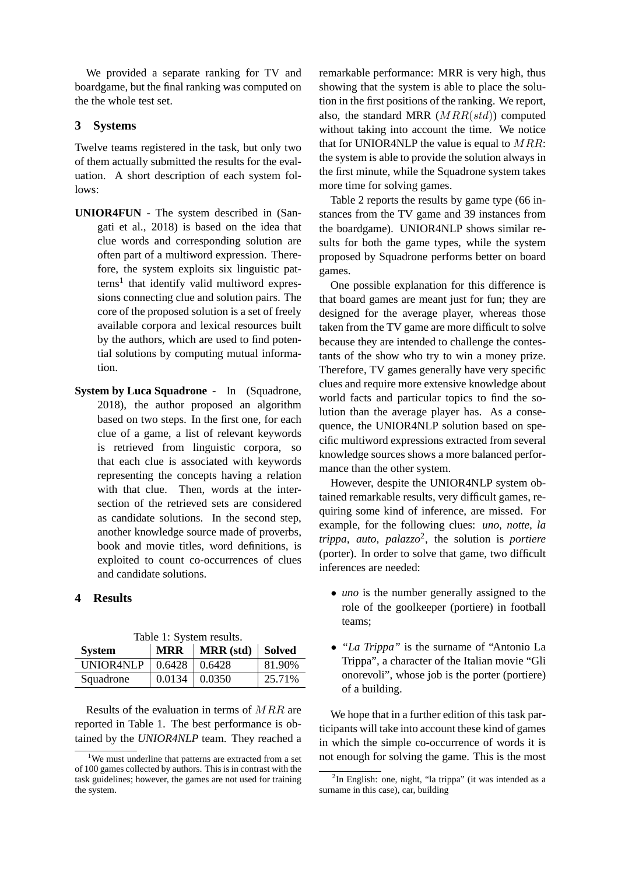We provided a separate ranking for TV and boardgame, but the final ranking was computed on the the whole test set.

## **3 Systems**

Twelve teams registered in the task, but only two of them actually submitted the results for the evaluation. A short description of each system follows:

- **UNIOR4FUN** The system described in (Sangati et al., 2018) is based on the idea that clue words and corresponding solution are often part of a multiword expression. Therefore, the system exploits six linguistic patterns<sup>1</sup> that identify valid multiword expressions connecting clue and solution pairs. The core of the proposed solution is a set of freely available corpora and lexical resources built by the authors, which are used to find potential solutions by computing mutual information.
- **System by Luca Squadrone** In (Squadrone, 2018), the author proposed an algorithm based on two steps. In the first one, for each clue of a game, a list of relevant keywords is retrieved from linguistic corpora, so that each clue is associated with keywords representing the concepts having a relation with that clue. Then, words at the intersection of the retrieved sets are considered as candidate solutions. In the second step, another knowledge source made of proverbs, book and movie titles, word definitions, is exploited to count co-occurrences of clues and candidate solutions.

## **4 Results**

| <b>System</b> | <b>MRR</b> | Table 1. Dystelli results.<br>  MRR (std)   Solved |        |
|---------------|------------|----------------------------------------------------|--------|
| UNIOR4NLP     | 0.6428     | 0.6428                                             | 81.90% |
| Squadrone     | 0.0134     | $\pm 0.0350$                                       | 25.71% |

Table 1: System results.

Results of the evaluation in terms of MRR are reported in Table 1. The best performance is obtained by the *UNIOR4NLP* team. They reached a remarkable performance: MRR is very high, thus showing that the system is able to place the solution in the first positions of the ranking. We report, also, the standard MRR  $(MRR(std))$  computed without taking into account the time. We notice that for UNIOR4NLP the value is equal to  $MRR$ : the system is able to provide the solution always in the first minute, while the Squadrone system takes more time for solving games.

Table 2 reports the results by game type (66 instances from the TV game and 39 instances from the boardgame). UNIOR4NLP shows similar results for both the game types, while the system proposed by Squadrone performs better on board games.

One possible explanation for this difference is that board games are meant just for fun; they are designed for the average player, whereas those taken from the TV game are more difficult to solve because they are intended to challenge the contestants of the show who try to win a money prize. Therefore, TV games generally have very specific clues and require more extensive knowledge about world facts and particular topics to find the solution than the average player has. As a consequence, the UNIOR4NLP solution based on specific multiword expressions extracted from several knowledge sources shows a more balanced performance than the other system.

However, despite the UNIOR4NLP system obtained remarkable results, very difficult games, requiring some kind of inference, are missed. For example, for the following clues: *uno, notte, la trippa, auto, palazzo*<sup>2</sup> , the solution is *portiere* (porter). In order to solve that game, two difficult inferences are needed:

- *uno* is the number generally assigned to the role of the goolkeeper (portiere) in football teams;
- *"La Trippa"* is the surname of "Antonio La Trippa", a character of the Italian movie "Gli onorevoli", whose job is the porter (portiere) of a building.

We hope that in a further edition of this task participants will take into account these kind of games in which the simple co-occurrence of words it is not enough for solving the game. This is the most

<sup>&</sup>lt;sup>1</sup>We must underline that patterns are extracted from a set of 100 games collected by authors. This is in contrast with the task guidelines; however, the games are not used for training the system.

<sup>&</sup>lt;sup>2</sup>In English: one, night, "la trippa" (it was intended as a surname in this case), car, building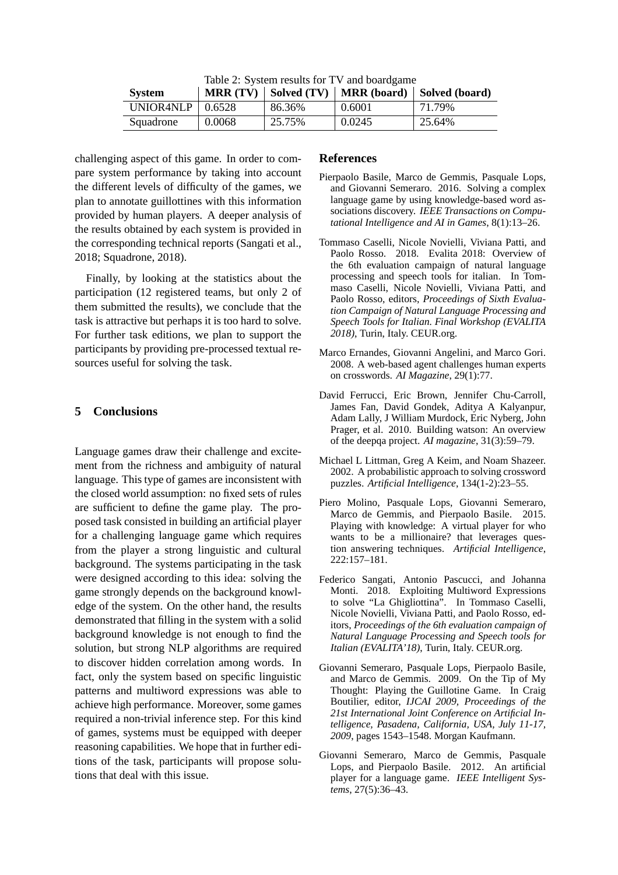|  |  |  |  | Table 2: System results for TV and boardgame |
|--|--|--|--|----------------------------------------------|
|--|--|--|--|----------------------------------------------|

| <b>System</b>           | MRR(TV) |        |        | Solved (TV)   MRR (board)   Solved (board) |
|-------------------------|---------|--------|--------|--------------------------------------------|
| UNIOR4NLP $\mid$ 0.6528 |         | 86.36% | 0.6001 | 71.79%                                     |
| Squadrone               | 0.0068  | 25.75% | 0.0245 | 25.64%                                     |

challenging aspect of this game. In order to compare system performance by taking into account the different levels of difficulty of the games, we plan to annotate guillottines with this information provided by human players. A deeper analysis of the results obtained by each system is provided in the corresponding technical reports (Sangati et al., 2018; Squadrone, 2018).

Finally, by looking at the statistics about the participation (12 registered teams, but only 2 of them submitted the results), we conclude that the task is attractive but perhaps it is too hard to solve. For further task editions, we plan to support the participants by providing pre-processed textual resources useful for solving the task.

#### **5 Conclusions**

Language games draw their challenge and excitement from the richness and ambiguity of natural language. This type of games are inconsistent with the closed world assumption: no fixed sets of rules are sufficient to define the game play. The proposed task consisted in building an artificial player for a challenging language game which requires from the player a strong linguistic and cultural background. The systems participating in the task were designed according to this idea: solving the game strongly depends on the background knowledge of the system. On the other hand, the results demonstrated that filling in the system with a solid background knowledge is not enough to find the solution, but strong NLP algorithms are required to discover hidden correlation among words. In fact, only the system based on specific linguistic patterns and multiword expressions was able to achieve high performance. Moreover, some games required a non-trivial inference step. For this kind of games, systems must be equipped with deeper reasoning capabilities. We hope that in further editions of the task, participants will propose solutions that deal with this issue.

#### **References**

- Pierpaolo Basile, Marco de Gemmis, Pasquale Lops, and Giovanni Semeraro. 2016. Solving a complex language game by using knowledge-based word associations discovery. *IEEE Transactions on Computational Intelligence and AI in Games*, 8(1):13–26.
- Tommaso Caselli, Nicole Novielli, Viviana Patti, and Paolo Rosso. 2018. Evalita 2018: Overview of the 6th evaluation campaign of natural language processing and speech tools for italian. In Tommaso Caselli, Nicole Novielli, Viviana Patti, and Paolo Rosso, editors, *Proceedings of Sixth Evaluation Campaign of Natural Language Processing and Speech Tools for Italian. Final Workshop (EVALITA 2018)*, Turin, Italy. CEUR.org.
- Marco Ernandes, Giovanni Angelini, and Marco Gori. 2008. A web-based agent challenges human experts on crosswords. *AI Magazine*, 29(1):77.
- David Ferrucci, Eric Brown, Jennifer Chu-Carroll, James Fan, David Gondek, Aditya A Kalyanpur, Adam Lally, J William Murdock, Eric Nyberg, John Prager, et al. 2010. Building watson: An overview of the deepqa project. *AI magazine*, 31(3):59–79.
- Michael L Littman, Greg A Keim, and Noam Shazeer. 2002. A probabilistic approach to solving crossword puzzles. *Artificial Intelligence*, 134(1-2):23–55.
- Piero Molino, Pasquale Lops, Giovanni Semeraro, Marco de Gemmis, and Pierpaolo Basile. 2015. Playing with knowledge: A virtual player for who wants to be a millionaire? that leverages question answering techniques. *Artificial Intelligence*, 222:157–181.
- Federico Sangati, Antonio Pascucci, and Johanna Monti. 2018. Exploiting Multiword Expressions to solve "La Ghigliottina". In Tommaso Caselli, Nicole Novielli, Viviana Patti, and Paolo Rosso, editors, *Proceedings of the 6th evaluation campaign of Natural Language Processing and Speech tools for Italian (EVALITA'18)*, Turin, Italy. CEUR.org.
- Giovanni Semeraro, Pasquale Lops, Pierpaolo Basile, and Marco de Gemmis. 2009. On the Tip of My Thought: Playing the Guillotine Game. In Craig Boutilier, editor, *IJCAI 2009, Proceedings of the 21st International Joint Conference on Artificial Intelligence, Pasadena, California, USA, July 11-17, 2009*, pages 1543–1548. Morgan Kaufmann.
- Giovanni Semeraro, Marco de Gemmis, Pasquale Lops, and Pierpaolo Basile. 2012. An artificial player for a language game. *IEEE Intelligent Systems*, 27(5):36–43.